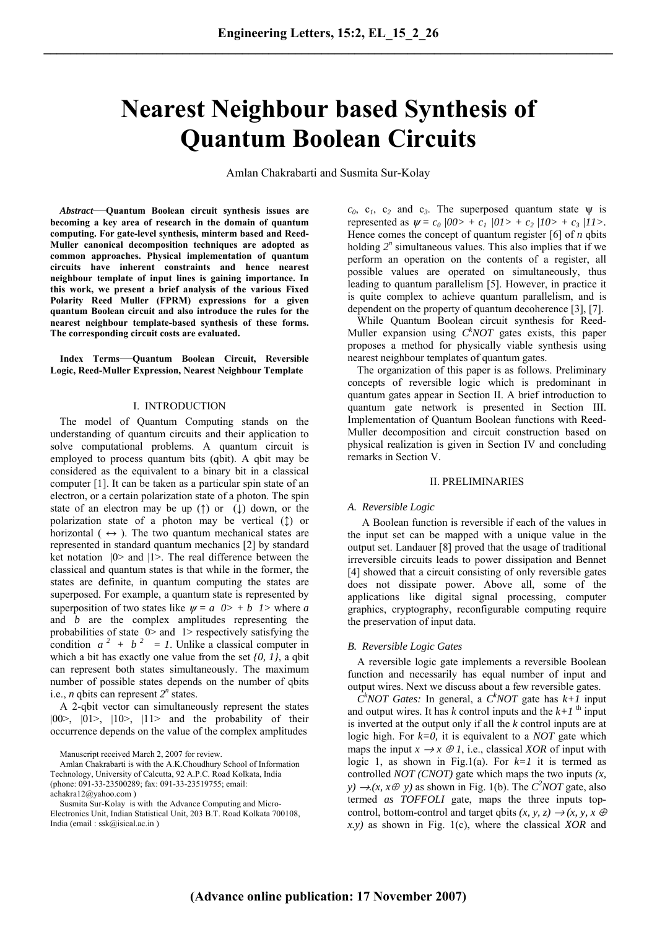# **Nearest Neighbour based Synthesis of Quantum Boolean Circuits**

Amlan Chakrabarti and Susmita Sur*-*Kolay

*Abstract*—**Quantum Boolean circuit synthesis issues are becoming a key area of research in the domain of quantum computing. For gate-level synthesis, minterm based and Reed-Muller canonical decomposition techniques are adopted as common approaches. Physical implementation of quantum circuits have inherent constraints and hence nearest neighbour template of input lines is gaining importance. In this work, we present a brief analysis of the various Fixed Polarity Reed Muller (FPRM) expressions for a given quantum Boolean circuit and also introduce the rules for the nearest neighbour template-based synthesis of these forms. The corresponding circuit costs are evaluated.** 

**Index Terms**—**Quantum Boolean Circuit, Reversible Logic, Reed-Muller Expression, Nearest Neighbour Template** 

# I. INTRODUCTION

 The model of Quantum Computing stands on the understanding of quantum circuits and their application to solve computational problems. A quantum circuit is employed to process quantum bits (qbit). A qbit may be considered as the equivalent to a binary bit in a classical computer [1]. It can be taken as a particular spin state of an electron, or a certain polarization state of a photon. The spin state of an electron may be up ( $\uparrow$ ) or ( $\downarrow$ ) down, or the polarization state of a photon may be vertical (↕) or horizontal ( $\leftrightarrow$ ). The two quantum mechanical states are represented in standard quantum mechanics [2] by standard ket notation  $|0\rangle$  and  $|1\rangle$ . The real difference between the classical and quantum states is that while in the former, the states are definite, in quantum computing the states are superposed. For example, a quantum state is represented by superposition of two states like  $\psi = a \quad 0 \rangle + b \quad 1 \rangle$  where *a* and *b* are the complex amplitudes representing the probabilities of state  $0$  and  $1$  respectively satisfying the condition  $a^2 + b^2 = 1$ . Unlike a classical computer in which a bit has exactly one value from the set *{0, 1}*, a qbit can represent both states simultaneously. The maximum number of possible states depends on the number of qbits i.e., *n* qbits can represent  $2^n$  states.

 A 2-qbit vector can simultaneously represent the states  $|00\rangle$ ,  $|01\rangle$ ,  $|10\rangle$ ,  $|11\rangle$  and the probability of their occurrence depends on the value of the complex amplitudes

Amlan Chakrabarti is with the A.K.Choudhury School of Information Technology, University of Calcutta, 92 A.P.C. Road Kolkata, India (phone: 091-33-23500289; fax: 091-33-23519755; email: achakra12@yahoo.com )

Susmita Sur*-*Kolay is with the Advance Computing and Micro-Electronics Unit, Indian Statistical Unit, 203 B.T. Road Kolkata 700108, India (email : ssk@isical.ac.in )

 $c_0$ ,  $c_1$ ,  $c_2$  and  $c_3$ . The superposed quantum state  $\psi$  is represented as  $\psi = c_0 / 00 > + c_1 / 01 > + c_2 / 10 > + c_3 / 11 >$ . Hence comes the concept of quantum register [6] of *n* qbits holding  $2<sup>n</sup>$  simultaneous values. This also implies that if we perform an operation on the contents of a register, all possible values are operated on simultaneously, thus leading to quantum parallelism [5]. However, in practice it is quite complex to achieve quantum parallelism, and is dependent on the property of quantum decoherence [3], [7].

While Quantum Boolean circuit synthesis for Reed-Muller expansion using  $C^k NOT$  gates exists, this paper proposes a method for physically viable synthesis using nearest neighbour templates of quantum gates.

 The organization of this paper is as follows. Preliminary concepts of reversible logic which is predominant in quantum gates appear in Section II. A brief introduction to quantum gate network is presented in Section III. Implementation of Quantum Boolean functions with Reed*-*Muller decomposition and circuit construction based on physical realization is given in Section IV and concluding remarks in Section V.

# II. PRELIMINARIES

### *A. Reversible Logic*

 A Boolean function is reversible if each of the values in the input set can be mapped with a unique value in the output set. Landauer [8] proved that the usage of traditional irreversible circuits leads to power dissipation and Bennet [4] showed that a circuit consisting of only reversible gates does not dissipate power. Above all, some of the applications like digital signal processing, computer graphics, cryptography, reconfigurable computing require the preservation of input data.

# *B. Reversible Logic Gates*

 A reversible logic gate implements a reversible Boolean function and necessarily has equal number of input and output wires. Next we discuss about a few reversible gates.

 $\hat{C}^k NOT$  *Gates:* In general, a  $C^k NOT$  gate has  $k+1$  input and output wires. It has  $k$  control inputs and the  $k+1$ <sup>th</sup> input is inverted at the output only if all the *k* control inputs are at logic high. For *k=0,* it is equivalent to a *NOT* gate which maps the input  $x \rightarrow x \oplus I$ , i.e., classical *XOR* of input with logic 1, as shown in Fig.1(a). For  $k=1$  it is termed as controlled *NOT (CNOT)* gate which maps the two inputs *(x, y*)  $\rightarrow$  (*x, x* $\oplus$  *y*) as shown in Fig. 1(b). The *C*<sup>2</sup>*NOT* gate, also termed *as TOFFOLI* gate, maps the three inputs topcontrol, bottom-control and target qbits  $(x, y, z) \rightarrow (x, y, x \oplus z)$ *x.y)* as shown in Fig. 1(c), where the classical *XOR* and

Manuscript received March 2, 2007 for review.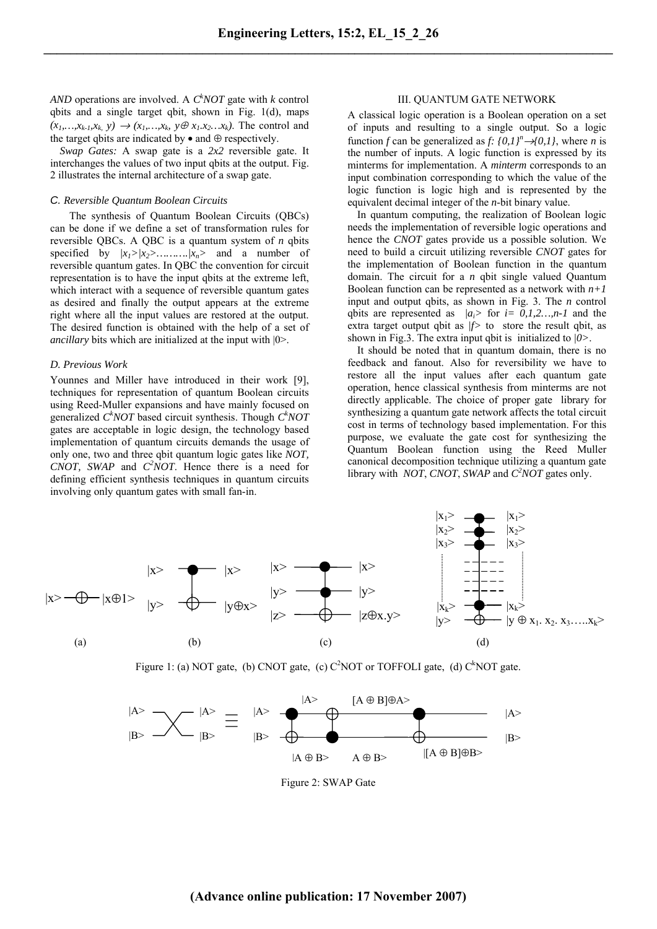*AND* operations are involved. A  $C^k NOT$  gate with *k* control qbits and a single target qbit, shown in Fig. 1(d), maps  $(x_1,...,x_{k-1},x_k, y) \rightarrow (x_1,...,x_k, y \oplus x_1.x_2...x_k)$ . The control and the target qbits are indicated by  $\bullet$  and  $\oplus$  respectively.

 *Swap Gates:* A swap gate is a *2x2* reversible gate. It interchanges the values of two input qbits at the output. Fig. 2 illustrates the internal architecture of a swap gate.

# *C. Reversible Quantum Boolean Circuits*

 The synthesis of Quantum Boolean Circuits (QBCs) can be done if we define a set of transformation rules for reversible QBCs. A QBC is a quantum system of *n* qbits specified by *|x1>|x2>……….|xn>* and a number of reversible quantum gates. In QBC the convention for circuit representation is to have the input qbits at the extreme left, which interact with a sequence of reversible quantum gates as desired and finally the output appears at the extreme right where all the input values are restored at the output. The desired function is obtained with the help of a set of *ancillary* bits which are initialized at the input with |0>.

#### *D. Previous Work*

Younnes and Miller have introduced in their work [9], techniques for representation of quantum Boolean circuits using Reed-Muller expansions and have mainly focused on generalized *C*<sup>k</sup>NOT based circuit synthesis. Though *C*<sup>k</sup>NOT gates are acceptable in logic design, the technology based implementation of quantum circuits demands the usage of only one, two and three qbit quantum logic gates like *NOT, CNOT, SWAP* and  $C^2 NOT$ . Hence there is a need for defining efficient synthesis techniques in quantum circuits involving only quantum gates with small fan-in.

# III. QUANTUM GATE NETWORK

A classical logic operation is a Boolean operation on a set of inputs and resulting to a single output. So a logic function *f* can be generalized as *f*:  $\{0,1\}^n \rightarrow \{0,1\}$ , where *n* is the number of inputs. A logic function is expressed by its minterms for implementation. A *minterm* corresponds to an input combination corresponding to which the value of the logic function is logic high and is represented by the equivalent decimal integer of the *n*-bit binary value.

 In quantum computing, the realization of Boolean logic needs the implementation of reversible logic operations and hence the *CNOT* gates provide us a possible solution. We need to build a circuit utilizing reversible *CNOT* gates for the implementation of Boolean function in the quantum domain. The circuit for a *n* qbit single valued Quantum Boolean function can be represented as a network with  $n+1$ input and output qbits, as shown in Fig. 3. The *n* control qbits are represented as  $|a_i\rangle$  for  $i= 0,1,2,...,n-1$  and the extra target output qbit as *|f>* to store the result qbit, as shown in Fig.3. The extra input qbit is initialized to *|0>*.

 It should be noted that in quantum domain, there is no feedback and fanout. Also for reversibility we have to restore all the input values after each quantum gate operation, hence classical synthesis from minterms are not directly applicable. The choice of proper gate library for synthesizing a quantum gate network affects the total circuit cost in terms of technology based implementation. For this purpose, we evaluate the gate cost for synthesizing the Quantum Boolean function using the Reed Muller canonical decomposition technique utilizing a quantum gate library with *NOT*, *CNOT*, *SWAP* and *C*<sup>2</sup>*NOT* gates only.



Figure 1: (a) NOT gate, (b) CNOT gate, (c)  $C^2NOT$  or TOFFOLI gate, (d)  $C^kNOT$  gate.

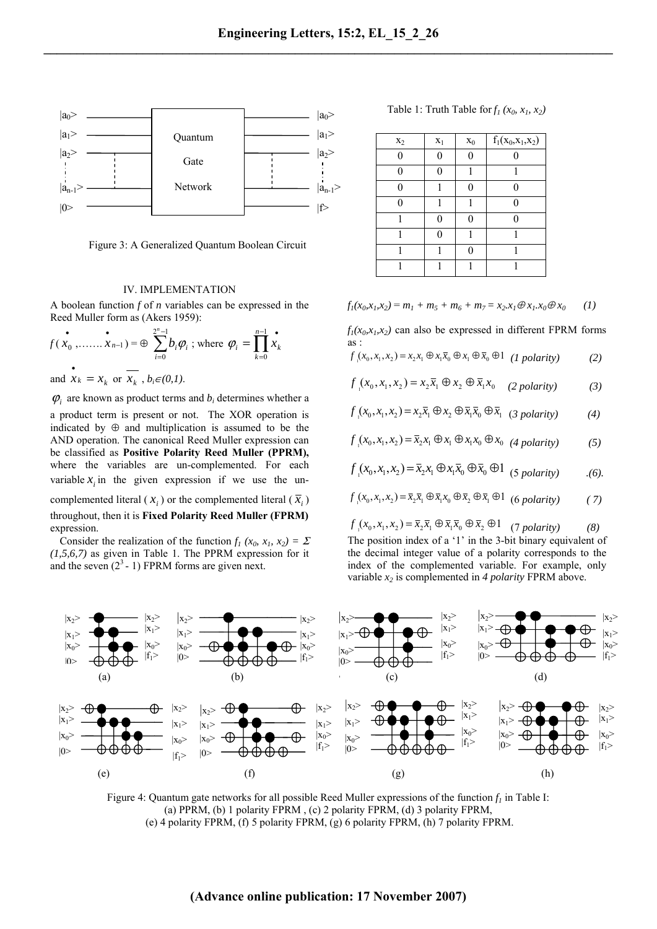

Figure 3: A Generalized Quantum Boolean Circuit

# IV. IMPLEMENTATION

A boolean function *f* of *n* variables can be expressed in the Reed Muller form as (Akers 1959):

$$
f(x_0, \dots, x_{n-1}) = \oplus \sum_{i=0}^{2^n - 1} b_i \varphi_i \text{; where } \varphi_i = \prod_{k=0}^{n-1} x_k
$$

and  $\overrightarrow{x_k} = x_k$  or  $\overrightarrow{x_k}$ ,  $b_i \in (0,1)$ .

 $\varphi$ <sub>*i*</sub> are known as product terms and  $b_i$  determines whether a a product term is present or not. The XOR operation is indicated by  $\oplus$  and multiplication is assumed to be the AND operation. The canonical Reed Muller expression can be classified as **Positive Polarity Reed Muller (PPRM),** where the variables are un-complemented. For each variable  $x_i$  in the given expression if we use the uncomplemented literal ( $x_i$ ) or the complemented literal ( $\overline{x}_i$ ) throughout, then it is **Fixed Polarity Reed Muller (FPRM)**

expression. Consider the realization of the function  $f_1(x_0, x_1, x_2) = \Sigma$ *(1,5,6,7)* as given in Table 1. The PPRM expression for it and the seven  $(2^3 - 1)$  FPRM forms are given next.

Table 1: Truth Table for  $f_1(x_0, x_1, x_2)$ 

| $x_2$ | $X_1$ | $x_0$    | $f_1(x_0, x_1, x_2)$ |
|-------|-------|----------|----------------------|
| 0     | 0     |          |                      |
| 0     | 0     |          |                      |
| 0     |       | 0        | 0                    |
| 0     |       |          |                      |
|       | 0     | $\Omega$ |                      |
|       | 0     |          |                      |
|       |       |          |                      |
|       |       |          |                      |

 $f_1(x_0, x_1, x_2) = m_1 + m_5 + m_6 + m_7 = x_2 \cdot x_1 \oplus x_1 \cdot x_0 \oplus x_0$  (1)

 $f_1(x_0, x_1, x_2)$  can also be expressed in different FPRM forms as :

$$
f(x_0, x_1, x_2) = x_2 x_1 \oplus x_1 \overline{x}_0 \oplus x_1 \oplus \overline{x}_0 \oplus 1 \quad (I \text{ polarity}) \tag{2}
$$

$$
f(x_0, x_1, x_2) = x_2 \overline{x}_1 \oplus x_2 \oplus \overline{x}_1 x_0 \quad (2 \text{ polarity}) \tag{3}
$$

$$
f_{1}(x_{0}, x_{1}, x_{2}) = x_{2}\overline{x}_{1} \oplus x_{2} \oplus \overline{x}_{1}\overline{x}_{0} \oplus \overline{x}_{1} \quad (3 \text{ polarity})
$$
 (4)

$$
f(x_0, x_1, x_2) = \overline{x}_2 x_1 \oplus x_1 \oplus x_1 x_0 \oplus x_0 \quad (4 \text{ polarity}) \tag{5}
$$

$$
f(x_0, x_1, x_2) = \overline{x}_2 x_1 \oplus x_1 \overline{x}_0 \oplus \overline{x}_0 \oplus 1 \quad (5 \text{ polarity}) \tag{6}.
$$

$$
f(x_0, x_1, x_2) = \overline{x}_2 \overline{x}_1 \oplus \overline{x}_1 x_0 \oplus \overline{x}_2 \oplus \overline{x}_1 \oplus 1 \quad (6 \text{ polarity}) \tag{7}
$$

 $f_{1}(x_{0}, x_{1}, x_{2}) = \bar{x}_{2} \bar{x}_{1} \oplus \bar{x}_{1} \bar{x}_{0} \oplus \bar{x}_{2} \oplus 1$  (7 *polarity*) (8) The position index of a '1' in the 3-bit binary equivalent of the decimal integer value of a polarity corresponds to the index of the complemented variable. For example, only variable *x2* is complemented in *4 polarity* FPRM above.



Figure 4: Quantum gate networks for all possible Reed Muller expressions of the function  $f_l$  in Table I: (a) PPRM, (b) 1 polarity FPRM , (c) 2 polarity FPRM, (d) 3 polarity FPRM, (e) 4 polarity FPRM, (f) 5 polarity FPRM, (g) 6 polarity FPRM, (h) 7 polarity FPRM.

# **(Advance online publication: 17 November 2007)**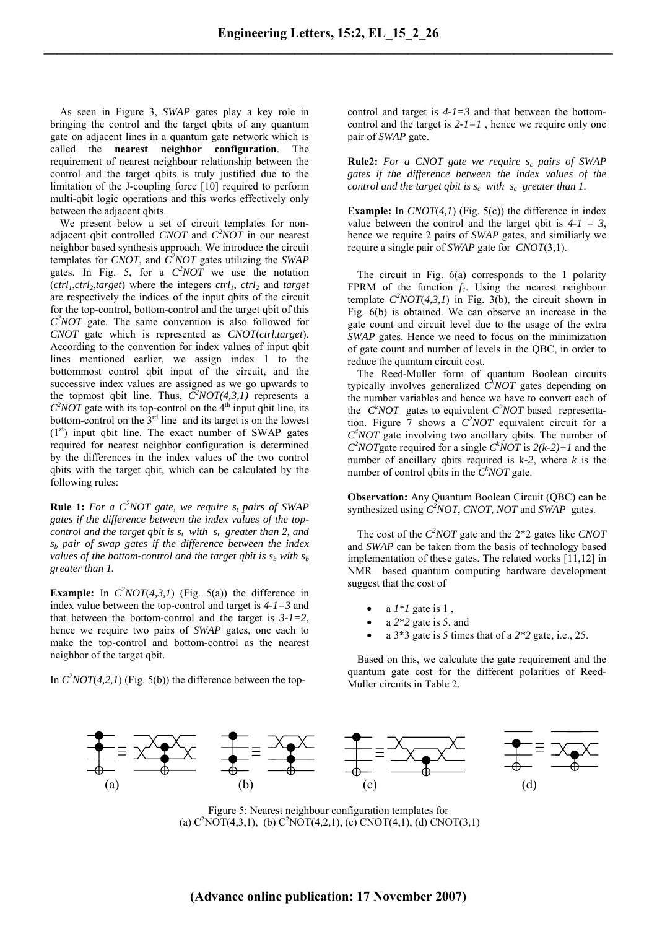As seen in Figure 3, *SWAP* gates play a key role in bringing the control and the target qbits of any quantum gate on adjacent lines in a quantum gate network which is called the **nearest neighbor configuration**. The requirement of nearest neighbour relationship between the control and the target qbits is truly justified due to the limitation of the J-coupling force [10] required to perform multi-qbit logic operations and this works effectively only between the adjacent qbits.

 We present below a set of circuit templates for nonadjacent qbit controlled *CNOT* and  $C^2NOT$  in our nearest neighbor based synthesis approach. We introduce the circuit templates for *CNOT*, and  $\hat{C}^2 NOT$  gates utilizing the *SWAP* gates. In Fig. 5, for a  $C^2 NOT$  we use the notation  $(ctrl<sub>1</sub>, ctrl<sub>2</sub>, target)$  where the integers  $ctrl<sub>1</sub>$ ,  $ctrl<sub>2</sub>$  and *target* are respectively the indices of the input qbits of the circuit for the top-control, bottom-control and the target qbit of this *C2 NOT* gate. The same convention is also followed for *CNOT* gate which is represented as *CNOT*(*ctrl*,*target*). According to the convention for index values of input qbit lines mentioned earlier, we assign index 1 to the bottommost control qbit input of the circuit, and the successive index values are assigned as we go upwards to the topmost qbit line. Thus,  $\overline{C}^2 NOT(4,3,1)$  represents a  $C^2$ *NOT* gate with its top-control on the 4<sup>th</sup> input qbit line, its bottom-control on the  $3<sup>rd</sup>$  line and its target is on the lowest  $(1<sup>st</sup>)$  input qbit line. The exact number of SWAP gates required for nearest neighbor configuration is determined by the differences in the index values of the two control qbits with the target qbit, which can be calculated by the following rules:

**Rule 1:** For a  $C^2NOT$  gate, we require  $s_t$  pairs of SWAP *gates if the difference between the index values of the topcontrol and the target qbit is*  $s_t$  with  $s_t$  greater than 2, and *sb pair of swap gates if the difference between the index values of the bottom-control and the target qbit is*  $s_b$  *with*  $s_b$ *greater than 1.*

**Example:** In  $C^2NOT(4,3,1)$  (Fig. 5(a)) the difference in index value between the top-control and target is *4-1=3* and that between the bottom-control and the target is *3-1=2*, hence we require two pairs of *SWAP* gates, one each to make the top-control and bottom-control as the nearest neighbor of the target qbit.

In  $C^2NOT(4,2,1)$  (Fig. 5(b)) the difference between the top-

control and target is *4-1=3* and that between the bottomcontrol and the target is  $2-I=1$ , hence we require only one pair of *SWAP* gate.

**Rule2:** For a CNOT gate we require  $s_c$  pairs of SWAP *gates if the difference between the index values of the control and the target qbit is s<sub>c</sub> with s<sub>c</sub> greater than 1.* 

**Example:** In *CNOT*(*4,1*) (Fig. 5(c)) the difference in index value between the control and the target qbit is  $4-1 = 3$ , hence we require 2 pairs of *SWAP* gates, and similiarly we require a single pair of *SWAP* gate for *CNOT*(3,1).

 The circuit in Fig. 6(a) corresponds to the 1 polarity FPRM of the function  $f_1$ . Using the nearest neighbour template  $C^2NOT(4,3,1)$  in Fig. 3(b), the circuit shown in Fig. 6(b) is obtained. We can observe an increase in the gate count and circuit level due to the usage of the extra *SWAP* gates. Hence we need to focus on the minimization of gate count and number of levels in the QBC, in order to reduce the quantum circuit cost.

 The Reed-Muller form of quantum Boolean circuits typically involves generalized  $\hat{C}^k NOT$  gates depending on the number variables and hence we have to convert each of the  $C^k NOT$  gates to equivalent  $C^2 NOT$  based representation. Figure 7 shows a *C2 NOT* equivalent circuit for a *C4 NOT* gate involving two ancillary qbits. The number of  $C^2 NOT$  gate required for a single  $C^k NOT$  is  $2(k-2)+1$  and the number of ancillary qbits required is k*-2*, where *k* is the number of control qbits in the  $C^k NOT$  gate.

**Observation:** Any Quantum Boolean Circuit (QBC) can be synthesized using *C2 NOT*, *CNOT*, *NOT* and *SWAP* gates.

The cost of the *C*<sup>2</sup>*NOT* gate and the 2<sup>\*</sup>2 gates like *CNOT* and *SWAP* can be taken from the basis of technology based implementation of these gates. The related works [11,12] in NMR based quantum computing hardware development suggest that the cost of

- a  $1*1$  gate is 1,
- a *2\*2* gate is 5, and
- a 3\*3 gate is 5 times that of a *2\*2* gate, i.e., 25.

 Based on this, we calculate the gate requirement and the quantum gate cost for the different polarities of Reed-Muller circuits in Table 2.



Figure 5: Nearest neighbour configuration templates for (a)  $C^2NOT(4,3,1)$ , (b)  $C^2NOT(4,2,1)$ , (c)  $CNOT(4,1)$ , (d)  $CNOT(3,1)$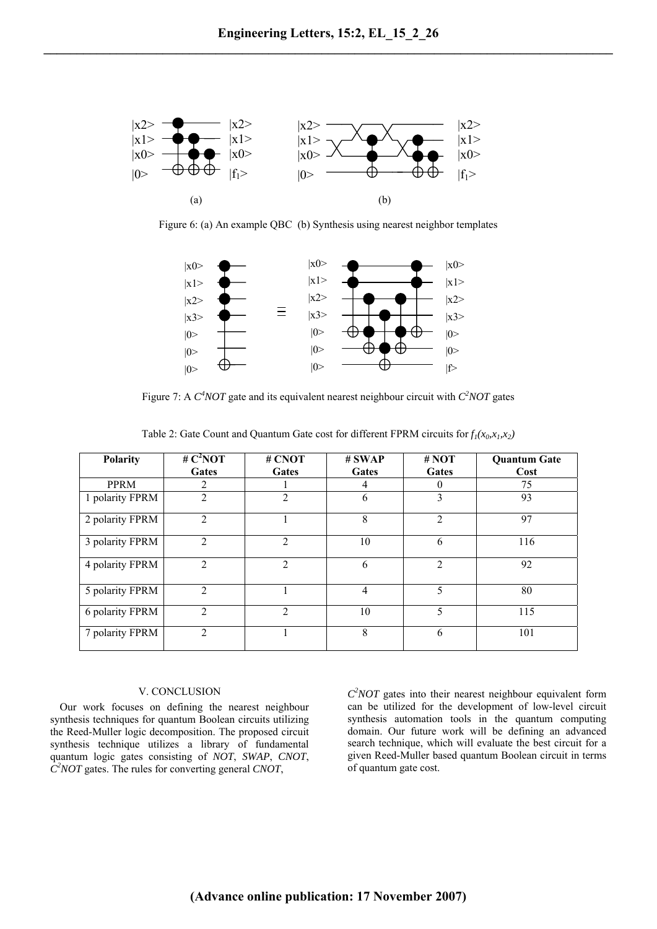

Figure 6: (a) An example QBC (b) Synthesis using nearest neighbor templates



Figure 7: A  $C^4 NOT$  gate and its equivalent nearest neighbour circuit with  $C^2 NOT$  gates

| <b>Polarity</b> | # $C^2NOT$<br>Gates | # CNOT<br>Gates             | # SWAP<br>Gates | # NOT<br>Gates | <b>Quantum Gate</b><br>Cost |
|-----------------|---------------------|-----------------------------|-----------------|----------------|-----------------------------|
|                 |                     |                             |                 |                |                             |
| <b>PPRM</b>     | 2                   |                             | 4               | $\theta$       | 75                          |
| 1 polarity FPRM | $\mathfrak{D}$      | $\overline{2}$              | 6               | 3              | 93                          |
| 2 polarity FPRM | $\mathfrak{D}$      |                             | 8               | $\overline{c}$ | 97                          |
| 3 polarity FPRM | $\mathfrak{D}$      | $\mathcal{D}_{\mathcal{L}}$ | 10              | 6              | 116                         |
| 4 polarity FPRM | $\overline{2}$      | $\overline{2}$              | 6               | 2              | 92                          |
| 5 polarity FPRM | $\mathfrak{D}$      |                             | 4               | 5              | 80                          |
| 6 polarity FPRM | $\mathfrak{D}$      | $\mathfrak{D}$              | 10              | 5              | 115                         |
| 7 polarity FPRM | $\mathfrak{D}$      |                             | 8               | 6              | 101                         |

Table 2: Gate Count and Quantum Gate cost for different FPRM circuits for  $f_1(x_0, x_1, x_2)$ 

## V. CONCLUSION

 Our work focuses on defining the nearest neighbour synthesis techniques for quantum Boolean circuits utilizing the Reed-Muller logic decomposition. The proposed circuit synthesis technique utilizes a library of fundamental quantum logic gates consisting of *NOT*, *SWAP*, *CNOT*, *C2 NOT* gates. The rules for converting general *CNOT*,

*C2 NOT* gates into their nearest neighbour equivalent form can be utilized for the development of low-level circuit synthesis automation tools in the quantum computing domain. Our future work will be defining an advanced search technique, which will evaluate the best circuit for a given Reed-Muller based quantum Boolean circuit in terms of quantum gate cost.